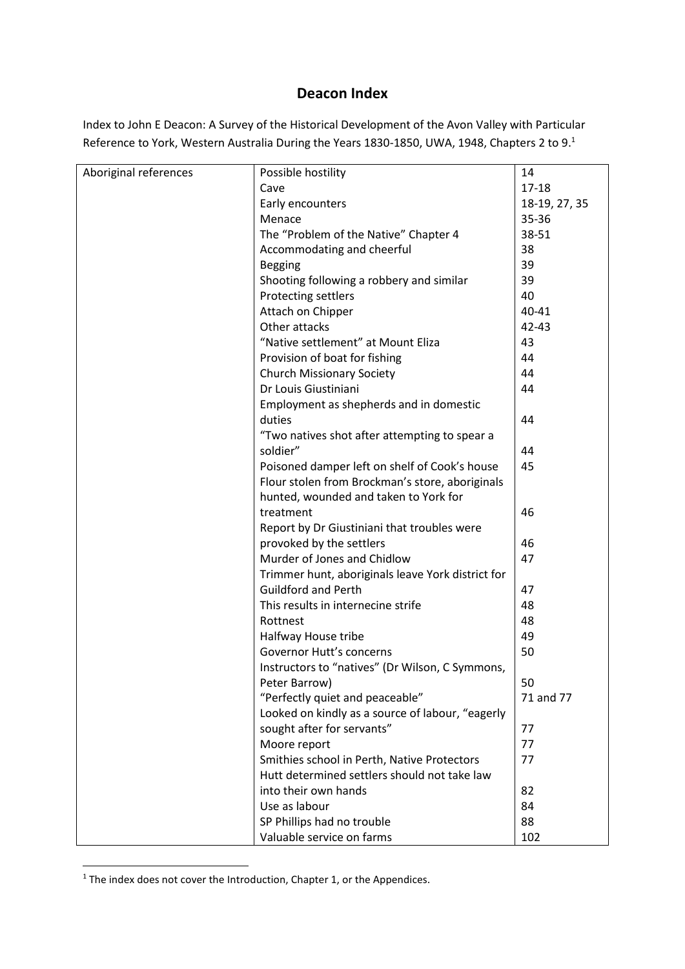## **Deacon Index**

Index to John E Deacon: A Survey of the Historical Development of the Avon Valley with Particular Reference to York, Western Australia During the Years 1830-1850, UWA, 1948, Chapters 2 to 9.<sup>1</sup>

| Aboriginal references | Possible hostility                                | 14            |
|-----------------------|---------------------------------------------------|---------------|
|                       | Cave                                              | $17 - 18$     |
|                       | Early encounters                                  | 18-19, 27, 35 |
|                       | Menace                                            | 35-36         |
|                       | The "Problem of the Native" Chapter 4             | 38-51         |
|                       | Accommodating and cheerful                        | 38            |
|                       | <b>Begging</b>                                    | 39            |
|                       | Shooting following a robbery and similar          | 39            |
|                       | Protecting settlers                               | 40            |
|                       | Attach on Chipper                                 | 40-41         |
|                       | Other attacks                                     | 42-43         |
|                       | "Native settlement" at Mount Eliza                | 43            |
|                       | Provision of boat for fishing                     | 44            |
|                       | <b>Church Missionary Society</b>                  | 44            |
|                       | Dr Louis Giustiniani                              | 44            |
|                       | Employment as shepherds and in domestic           |               |
|                       | duties                                            | 44            |
|                       | "Two natives shot after attempting to spear a     |               |
|                       | soldier"                                          | 44            |
|                       | Poisoned damper left on shelf of Cook's house     | 45            |
|                       | Flour stolen from Brockman's store, aboriginals   |               |
|                       | hunted, wounded and taken to York for             |               |
|                       | treatment                                         | 46            |
|                       | Report by Dr Giustiniani that troubles were       |               |
|                       | provoked by the settlers                          | 46            |
|                       | Murder of Jones and Chidlow                       | 47            |
|                       | Trimmer hunt, aboriginals leave York district for |               |
|                       | <b>Guildford and Perth</b>                        | 47            |
|                       | This results in internecine strife                | 48            |
|                       | Rottnest                                          | 48            |
|                       | Halfway House tribe                               | 49            |
|                       | Governor Hutt's concerns                          | 50            |
|                       | Instructors to "natives" (Dr Wilson, C Symmons,   |               |
|                       | Peter Barrow)                                     | 50            |
|                       | "Perfectly quiet and peaceable"                   | 71 and 77     |
|                       | Looked on kindly as a source of labour, "eagerly  |               |
|                       | sought after for servants"                        | 77            |
|                       | Moore report                                      | 77            |
|                       | Smithies school in Perth, Native Protectors       | 77            |
|                       | Hutt determined settlers should not take law      |               |
|                       | into their own hands                              | 82            |
|                       | Use as labour                                     | 84            |
|                       | SP Phillips had no trouble                        | 88            |
|                       | Valuable service on farms                         | 102           |

<sup>&</sup>lt;sup>1</sup> The index does not cover the Introduction, Chapter 1, or the Appendices.

**.**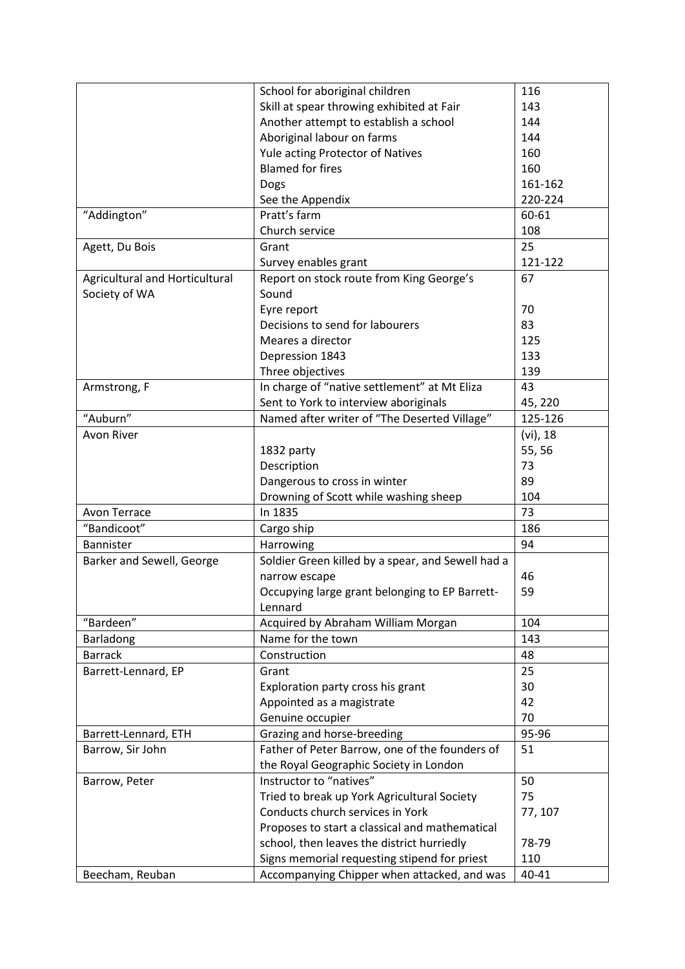|                                | School for aboriginal children                    | 116      |
|--------------------------------|---------------------------------------------------|----------|
|                                | Skill at spear throwing exhibited at Fair         | 143      |
|                                | Another attempt to establish a school             | 144      |
|                                | Aboriginal labour on farms                        | 144      |
|                                | Yule acting Protector of Natives                  | 160      |
|                                | <b>Blamed for fires</b>                           | 160      |
|                                | Dogs                                              | 161-162  |
|                                | See the Appendix                                  | 220-224  |
| "Addington"                    | Pratt's farm                                      | 60-61    |
|                                | Church service                                    | 108      |
| Agett, Du Bois                 | Grant                                             | 25       |
|                                | Survey enables grant                              | 121-122  |
| Agricultural and Horticultural | Report on stock route from King George's          | 67       |
|                                | Sound                                             |          |
| Society of WA                  |                                                   |          |
|                                | Eyre report                                       | 70       |
|                                | Decisions to send for labourers                   | 83       |
|                                | Meares a director                                 | 125      |
|                                | Depression 1843                                   | 133      |
|                                | Three objectives                                  | 139      |
| Armstrong, F                   | In charge of "native settlement" at Mt Eliza      | 43       |
|                                | Sent to York to interview aboriginals             | 45, 220  |
| "Auburn"                       | Named after writer of "The Deserted Village"      | 125-126  |
| Avon River                     |                                                   | (vi), 18 |
|                                | 1832 party                                        | 55,56    |
|                                | Description                                       | 73       |
|                                | Dangerous to cross in winter                      | 89       |
|                                | Drowning of Scott while washing sheep             | 104      |
| Avon Terrace                   | In 1835                                           | 73       |
| "Bandicoot"                    | Cargo ship                                        | 186      |
| Bannister                      | Harrowing                                         | 94       |
| Barker and Sewell, George      | Soldier Green killed by a spear, and Sewell had a |          |
|                                | narrow escape                                     | 46       |
|                                | Occupying large grant belonging to EP Barrett-    | 59       |
|                                | Lennard                                           |          |
| "Bardeen"                      | Acquired by Abraham William Morgan                | 104      |
| Barladong                      | Name for the town                                 | 143      |
| <b>Barrack</b>                 | Construction                                      | 48       |
|                                |                                                   |          |
| Barrett-Lennard, EP            | Grant                                             | 25       |
|                                | Exploration party cross his grant                 | 30       |
|                                | Appointed as a magistrate                         | 42       |
|                                | Genuine occupier                                  | 70       |
| Barrett-Lennard, ETH           | Grazing and horse-breeding                        | 95-96    |
| Barrow, Sir John               | Father of Peter Barrow, one of the founders of    | 51       |
|                                | the Royal Geographic Society in London            |          |
| Barrow, Peter                  | Instructor to "natives"                           | 50       |
|                                | Tried to break up York Agricultural Society       | 75       |
|                                | Conducts church services in York                  | 77, 107  |
|                                | Proposes to start a classical and mathematical    |          |
|                                | school, then leaves the district hurriedly        | 78-79    |
|                                | Signs memorial requesting stipend for priest      | 110      |
| Beecham, Reuban                | Accompanying Chipper when attacked, and was       | 40-41    |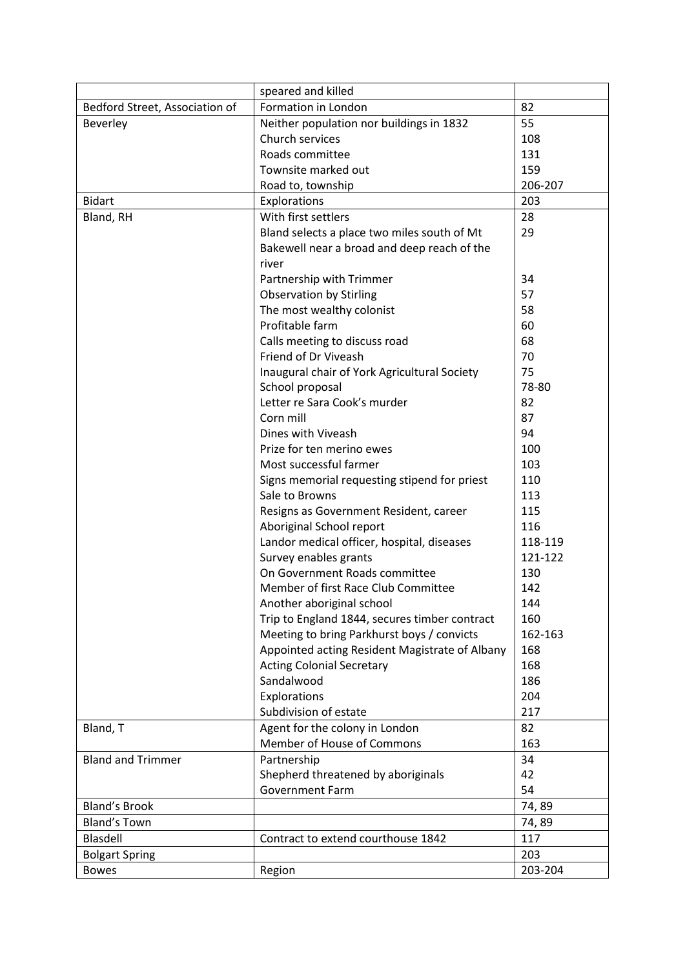|                                | speared and killed                             |         |
|--------------------------------|------------------------------------------------|---------|
| Bedford Street, Association of | Formation in London                            | 82      |
| Beverley                       | Neither population nor buildings in 1832       | 55      |
|                                | Church services                                | 108     |
|                                | Roads committee                                | 131     |
|                                | Townsite marked out                            | 159     |
|                                | Road to, township                              | 206-207 |
| <b>Bidart</b>                  | Explorations                                   | 203     |
| Bland, RH                      | With first settlers                            | 28      |
|                                | Bland selects a place two miles south of Mt    | 29      |
|                                | Bakewell near a broad and deep reach of the    |         |
|                                | river                                          |         |
|                                | Partnership with Trimmer                       | 34      |
|                                | <b>Observation by Stirling</b>                 | 57      |
|                                | The most wealthy colonist                      | 58      |
|                                | Profitable farm                                | 60      |
|                                | Calls meeting to discuss road                  | 68      |
|                                | Friend of Dr Viveash                           | 70      |
|                                | Inaugural chair of York Agricultural Society   | 75      |
|                                | School proposal                                | 78-80   |
|                                | Letter re Sara Cook's murder                   | 82      |
|                                | Corn mill                                      | 87      |
|                                | Dines with Viveash                             | 94      |
|                                | Prize for ten merino ewes                      | 100     |
|                                | Most successful farmer                         | 103     |
|                                | Signs memorial requesting stipend for priest   | 110     |
|                                | Sale to Browns                                 | 113     |
|                                | Resigns as Government Resident, career         | 115     |
|                                | Aboriginal School report                       | 116     |
|                                | Landor medical officer, hospital, diseases     | 118-119 |
|                                | Survey enables grants                          | 121-122 |
|                                | On Government Roads committee                  | 130     |
|                                | Member of first Race Club Committee            | 142     |
|                                | Another aboriginal school                      | 144     |
|                                | Trip to England 1844, secures timber contract  | 160     |
|                                | Meeting to bring Parkhurst boys / convicts     | 162-163 |
|                                | Appointed acting Resident Magistrate of Albany | 168     |
|                                | <b>Acting Colonial Secretary</b>               | 168     |
|                                | Sandalwood                                     | 186     |
|                                | Explorations                                   | 204     |
|                                | Subdivision of estate                          | 217     |
| Bland, T                       | Agent for the colony in London                 | 82      |
|                                | Member of House of Commons                     | 163     |
| <b>Bland and Trimmer</b>       | Partnership                                    | 34      |
|                                | Shepherd threatened by aboriginals             | 42      |
|                                | <b>Government Farm</b>                         | 54      |
| <b>Bland's Brook</b>           |                                                | 74,89   |
| <b>Bland's Town</b>            |                                                | 74,89   |
| Blasdell                       | Contract to extend courthouse 1842             | 117     |
| <b>Bolgart Spring</b>          |                                                | 203     |
| <b>Bowes</b>                   | Region                                         | 203-204 |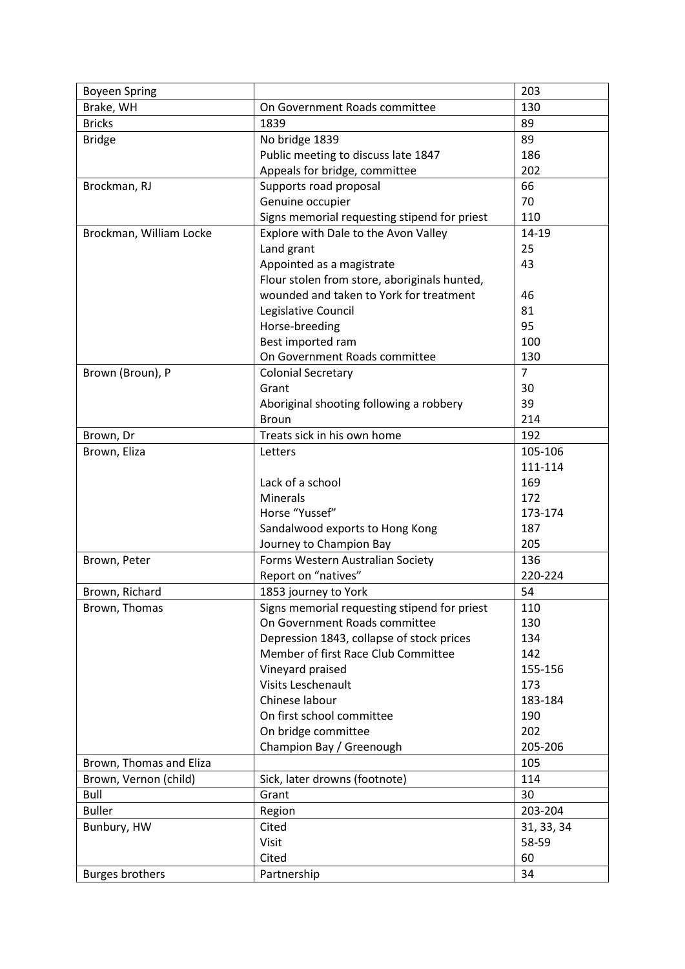| <b>Boyeen Spring</b>    |                                              | 203            |
|-------------------------|----------------------------------------------|----------------|
| Brake, WH               | On Government Roads committee                | 130            |
| <b>Bricks</b>           | 1839                                         | 89             |
| <b>Bridge</b>           | No bridge 1839                               | 89             |
|                         | Public meeting to discuss late 1847          | 186            |
|                         | Appeals for bridge, committee                | 202            |
| Brockman, RJ            | Supports road proposal                       | 66             |
|                         | Genuine occupier                             | 70             |
|                         | Signs memorial requesting stipend for priest | 110            |
| Brockman, William Locke | Explore with Dale to the Avon Valley         | 14-19          |
|                         | Land grant                                   | 25             |
|                         | Appointed as a magistrate                    | 43             |
|                         | Flour stolen from store, aboriginals hunted, |                |
|                         | wounded and taken to York for treatment      | 46             |
|                         | Legislative Council                          | 81             |
|                         | Horse-breeding                               | 95             |
|                         | Best imported ram                            | 100            |
|                         | On Government Roads committee                | 130            |
| Brown (Broun), P        | <b>Colonial Secretary</b>                    | $\overline{7}$ |
|                         | Grant                                        | 30             |
|                         | Aboriginal shooting following a robbery      | 39             |
|                         | <b>Broun</b>                                 | 214            |
| Brown, Dr               | Treats sick in his own home                  | 192            |
| Brown, Eliza            | Letters                                      | 105-106        |
|                         |                                              | 111-114        |
|                         | Lack of a school                             | 169            |
|                         | Minerals                                     | 172            |
|                         | Horse "Yussef"                               | 173-174        |
|                         | Sandalwood exports to Hong Kong              | 187            |
|                         | Journey to Champion Bay                      | 205            |
| Brown, Peter            | Forms Western Australian Society             | 136            |
|                         | Report on "natives"                          | 220-224        |
| Brown, Richard          | 1853 journey to York                         | 54             |
| Brown, Thomas           | Signs memorial requesting stipend for priest | 110            |
|                         | On Government Roads committee                | 130            |
|                         | Depression 1843, collapse of stock prices    | 134            |
|                         | Member of first Race Club Committee          | 142            |
|                         | Vineyard praised                             | 155-156        |
|                         | <b>Visits Leschenault</b>                    | 173            |
|                         | Chinese labour                               | 183-184        |
|                         | On first school committee                    | 190            |
|                         | On bridge committee                          | 202            |
|                         | Champion Bay / Greenough                     | 205-206        |
| Brown, Thomas and Eliza |                                              | 105            |
| Brown, Vernon (child)   | Sick, later drowns (footnote)                | 114            |
| Bull                    | Grant                                        | 30             |
| <b>Buller</b>           | Region                                       | 203-204        |
| Bunbury, HW             | Cited                                        | 31, 33, 34     |
|                         | Visit                                        | 58-59          |
|                         | Cited                                        | 60             |
| <b>Burges brothers</b>  | Partnership                                  | 34             |
|                         |                                              |                |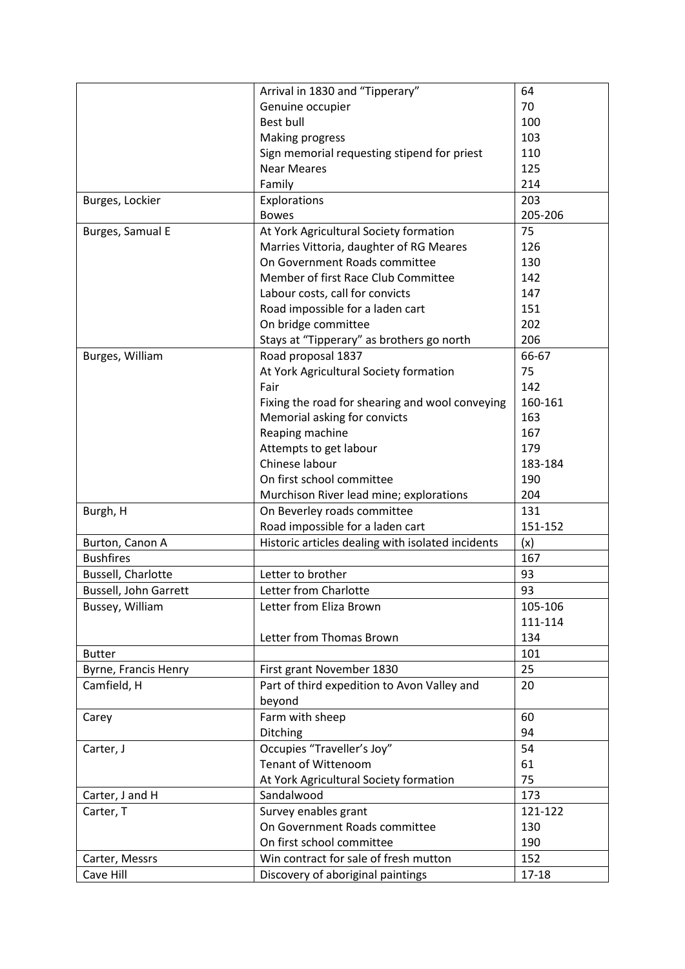|                              | Arrival in 1830 and "Tipperary"                   | 64      |
|------------------------------|---------------------------------------------------|---------|
|                              | Genuine occupier                                  | 70      |
|                              | <b>Best bull</b>                                  | 100     |
|                              | <b>Making progress</b>                            | 103     |
|                              | Sign memorial requesting stipend for priest       | 110     |
|                              | <b>Near Meares</b>                                | 125     |
|                              | Family                                            | 214     |
| Burges, Lockier              | Explorations                                      | 203     |
|                              | <b>Bowes</b>                                      | 205-206 |
| Burges, Samual E             | At York Agricultural Society formation            | 75      |
|                              | Marries Vittoria, daughter of RG Meares           | 126     |
|                              | On Government Roads committee                     | 130     |
|                              | Member of first Race Club Committee               | 142     |
|                              | Labour costs, call for convicts                   | 147     |
|                              | Road impossible for a laden cart                  | 151     |
|                              | On bridge committee                               | 202     |
|                              |                                                   | 206     |
|                              | Stays at "Tipperary" as brothers go north         |         |
| Burges, William              | Road proposal 1837                                | 66-67   |
|                              | At York Agricultural Society formation            | 75      |
|                              | Fair                                              | 142     |
|                              | Fixing the road for shearing and wool conveying   | 160-161 |
|                              | Memorial asking for convicts                      | 163     |
|                              | Reaping machine                                   | 167     |
|                              | Attempts to get labour                            | 179     |
|                              | Chinese labour                                    | 183-184 |
|                              | On first school committee                         | 190     |
|                              | Murchison River lead mine; explorations           | 204     |
| Burgh, H                     | On Beverley roads committee                       | 131     |
|                              | Road impossible for a laden cart                  | 151-152 |
| Burton, Canon A              | Historic articles dealing with isolated incidents | (x)     |
| <b>Bushfires</b>             |                                                   | 167     |
| <b>Bussell, Charlotte</b>    | Letter to brother                                 | 93      |
| <b>Bussell, John Garrett</b> | Letter from Charlotte                             | 93      |
| Bussey, William              | Letter from Eliza Brown                           | 105-106 |
|                              |                                                   | 111-114 |
|                              | Letter from Thomas Brown                          | 134     |
| <b>Butter</b>                |                                                   | 101     |
| Byrne, Francis Henry         | First grant November 1830                         | 25      |
| Camfield, H                  | Part of third expedition to Avon Valley and       | 20      |
|                              | beyond                                            |         |
|                              |                                                   |         |
| Carey                        | Farm with sheep                                   | 60      |
|                              | Ditching                                          | 94      |
| Carter, J                    | Occupies "Traveller's Joy"                        | 54      |
|                              | <b>Tenant of Wittenoom</b>                        | 61      |
|                              | At York Agricultural Society formation            | 75      |
| Carter, J and H              | Sandalwood                                        | 173     |
| Carter, T                    | Survey enables grant                              | 121-122 |
|                              | On Government Roads committee                     | 130     |
|                              | On first school committee                         | 190     |
| Carter, Messrs               | Win contract for sale of fresh mutton             | 152     |
| Cave Hill                    | Discovery of aboriginal paintings                 | 17-18   |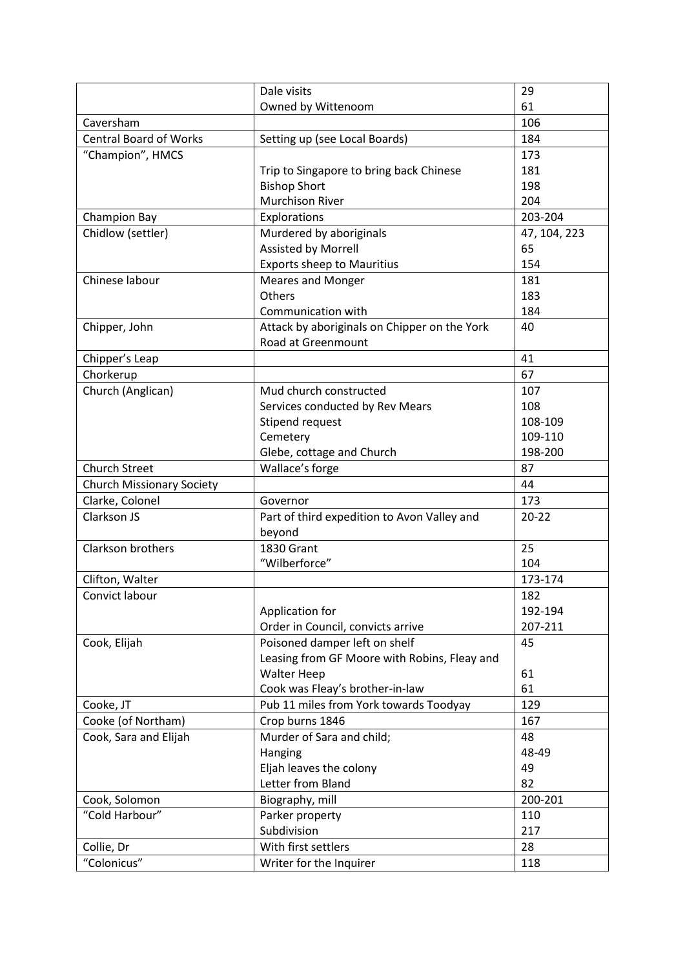|                                  | Dale visits                                  | 29           |
|----------------------------------|----------------------------------------------|--------------|
|                                  | Owned by Wittenoom                           | 61           |
| Caversham                        |                                              | 106          |
| <b>Central Board of Works</b>    | Setting up (see Local Boards)                | 184          |
| "Champion", HMCS                 |                                              | 173          |
|                                  | Trip to Singapore to bring back Chinese      | 181          |
|                                  | <b>Bishop Short</b>                          | 198          |
|                                  | <b>Murchison River</b>                       | 204          |
| <b>Champion Bay</b>              | Explorations                                 | 203-204      |
| Chidlow (settler)                | Murdered by aboriginals                      | 47, 104, 223 |
|                                  | Assisted by Morrell                          | 65           |
|                                  | <b>Exports sheep to Mauritius</b>            | 154          |
| Chinese labour                   | <b>Meares and Monger</b>                     | 181          |
|                                  | Others                                       | 183          |
|                                  | Communication with                           | 184          |
| Chipper, John                    | Attack by aboriginals on Chipper on the York | 40           |
|                                  | Road at Greenmount                           |              |
| Chipper's Leap                   |                                              | 41           |
| Chorkerup                        |                                              | 67           |
| Church (Anglican)                | Mud church constructed                       | 107          |
|                                  | Services conducted by Rev Mears              | 108          |
|                                  | Stipend request                              | 108-109      |
|                                  | Cemetery                                     | 109-110      |
|                                  | Glebe, cottage and Church                    | 198-200      |
| <b>Church Street</b>             | Wallace's forge                              | 87           |
| <b>Church Missionary Society</b> |                                              | 44           |
| Clarke, Colonel                  | Governor                                     | 173          |
| Clarkson JS                      | Part of third expedition to Avon Valley and  | $20 - 22$    |
|                                  | beyond                                       |              |
| <b>Clarkson brothers</b>         | <b>1830 Grant</b>                            | 25           |
|                                  | "Wilberforce"                                | 104          |
| Clifton, Walter                  |                                              | 173-174      |
| Convict labour                   |                                              | 182          |
|                                  | Application for                              | 192-194      |
|                                  | Order in Council, convicts arrive            | 207-211      |
| Cook, Elijah                     | Poisoned damper left on shelf                | 45           |
|                                  | Leasing from GF Moore with Robins, Fleay and |              |
|                                  | <b>Walter Heep</b>                           | 61           |
|                                  | Cook was Fleay's brother-in-law              | 61           |
| Cooke, JT                        | Pub 11 miles from York towards Toodyay       | 129          |
| Cooke (of Northam)               | Crop burns 1846                              | 167          |
| Cook, Sara and Elijah            | Murder of Sara and child;                    | 48           |
|                                  | Hanging                                      | 48-49        |
|                                  | Eljah leaves the colony                      | 49           |
|                                  | Letter from Bland                            | 82           |
| Cook, Solomon                    | Biography, mill                              | 200-201      |
| "Cold Harbour"                   | Parker property                              | 110          |
|                                  | Subdivision                                  | 217          |
| Collie, Dr                       | With first settlers                          | 28           |
| "Colonicus"                      | Writer for the Inquirer                      | 118          |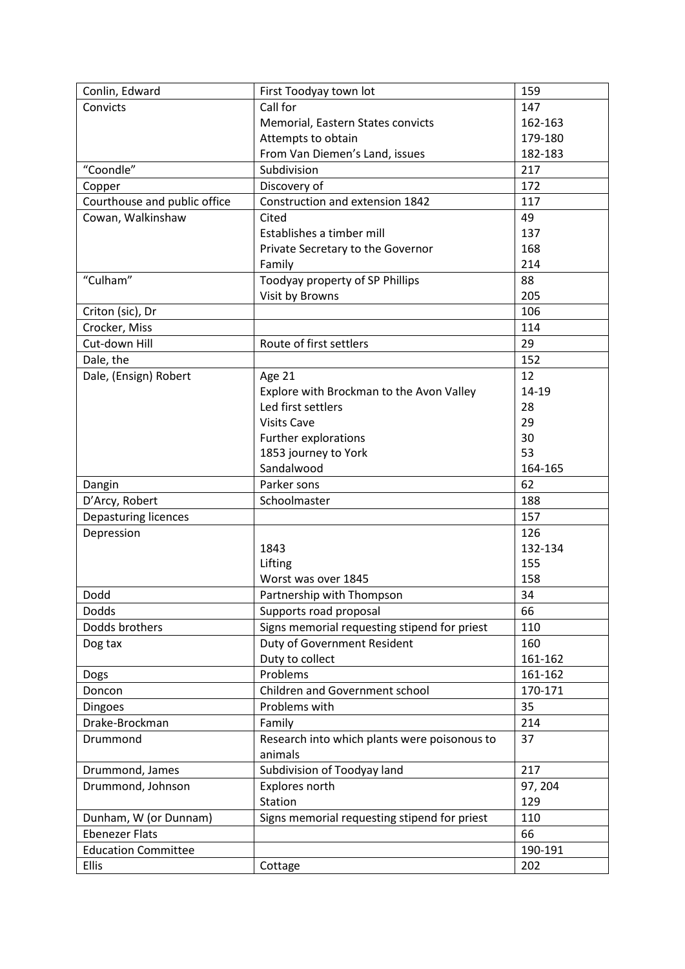| Conlin, Edward               | First Toodyay town lot                       | 159     |
|------------------------------|----------------------------------------------|---------|
| Convicts                     | Call for                                     | 147     |
|                              | Memorial, Eastern States convicts            | 162-163 |
|                              | Attempts to obtain                           | 179-180 |
|                              | From Van Diemen's Land, issues               | 182-183 |
| "Coondle"                    | Subdivision                                  | 217     |
| Copper                       | Discovery of                                 | 172     |
| Courthouse and public office | Construction and extension 1842              | 117     |
| Cowan, Walkinshaw            | Cited                                        | 49      |
|                              | Establishes a timber mill                    | 137     |
|                              | Private Secretary to the Governor            | 168     |
|                              | Family                                       | 214     |
| "Culham"                     | Toodyay property of SP Phillips              | 88      |
|                              | Visit by Browns                              | 205     |
| Criton (sic), Dr             |                                              | 106     |
| Crocker, Miss                |                                              | 114     |
| Cut-down Hill                | Route of first settlers                      | 29      |
| Dale, the                    |                                              | 152     |
| Dale, (Ensign) Robert        | Age 21                                       | 12      |
|                              | Explore with Brockman to the Avon Valley     | 14-19   |
|                              | Led first settlers                           | 28      |
|                              | <b>Visits Cave</b>                           | 29      |
|                              | Further explorations                         | 30      |
|                              | 1853 journey to York                         | 53      |
|                              | Sandalwood                                   | 164-165 |
| Dangin                       | Parker sons                                  | 62      |
| D'Arcy, Robert               | Schoolmaster                                 | 188     |
| Depasturing licences         |                                              | 157     |
| Depression                   |                                              | 126     |
|                              | 1843                                         | 132-134 |
|                              | Lifting                                      | 155     |
|                              | Worst was over 1845                          | 158     |
| Dodd                         | Partnership with Thompson                    | 34      |
| <b>Dodds</b>                 | Supports road proposal                       | 66      |
| Dodds brothers               | Signs memorial requesting stipend for priest | 110     |
| Dog tax                      | Duty of Government Resident                  | 160     |
|                              | Duty to collect                              | 161-162 |
| Dogs                         | Problems                                     | 161-162 |
| Doncon                       | Children and Government school               | 170-171 |
| <b>Dingoes</b>               | Problems with                                | 35      |
| Drake-Brockman               | Family                                       | 214     |
| Drummond                     | Research into which plants were poisonous to | 37      |
|                              | animals                                      |         |
| Drummond, James              | Subdivision of Toodyay land                  | 217     |
| Drummond, Johnson            | Explores north                               | 97, 204 |
|                              | Station                                      | 129     |
| Dunham, W (or Dunnam)        | Signs memorial requesting stipend for priest | 110     |
| <b>Ebenezer Flats</b>        |                                              | 66      |
| <b>Education Committee</b>   |                                              | 190-191 |
| <b>Ellis</b>                 | Cottage                                      | 202     |
|                              |                                              |         |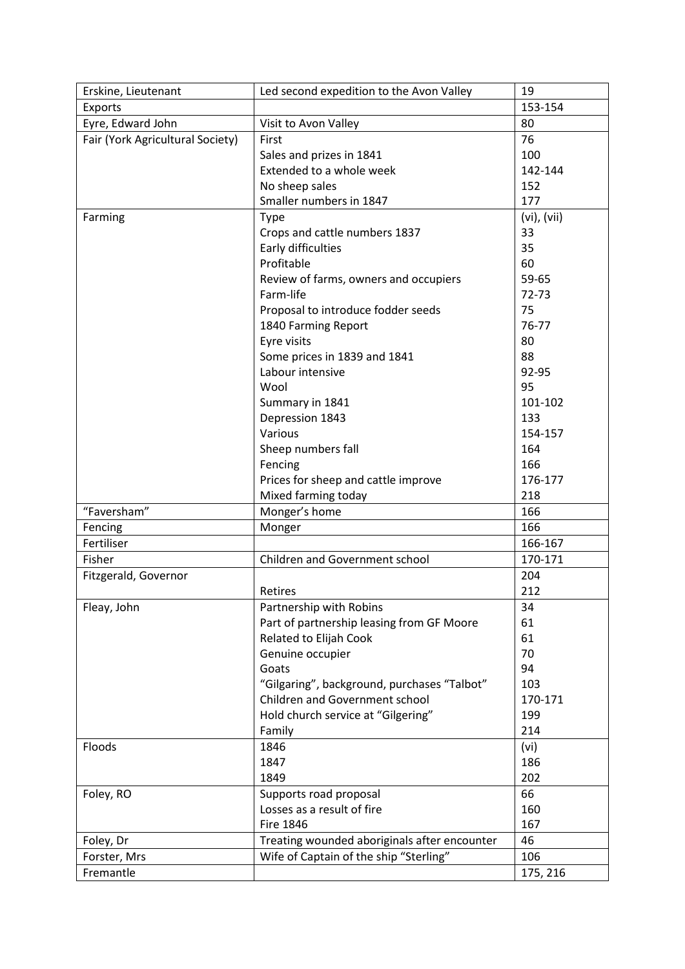| Erskine, Lieutenant              | Led second expedition to the Avon Valley     | 19               |
|----------------------------------|----------------------------------------------|------------------|
| Exports                          |                                              | 153-154          |
| Eyre, Edward John                | Visit to Avon Valley                         | 80               |
| Fair (York Agricultural Society) | First                                        | 76               |
|                                  | Sales and prizes in 1841                     | 100              |
|                                  | Extended to a whole week                     | 142-144          |
|                                  | No sheep sales                               | 152              |
|                                  | Smaller numbers in 1847                      | 177              |
| Farming                          | <b>Type</b>                                  | $(vi)$ , $(vii)$ |
|                                  | Crops and cattle numbers 1837                | 33               |
|                                  | Early difficulties                           | 35               |
|                                  | Profitable                                   | 60               |
|                                  | Review of farms, owners and occupiers        | 59-65            |
|                                  | Farm-life                                    | 72-73            |
|                                  | Proposal to introduce fodder seeds           | 75               |
|                                  | 1840 Farming Report                          | 76-77            |
|                                  | Eyre visits                                  | 80               |
|                                  | Some prices in 1839 and 1841                 | 88               |
|                                  | Labour intensive                             | 92-95            |
|                                  | Wool                                         | 95               |
|                                  | Summary in 1841                              | 101-102          |
|                                  | Depression 1843                              | 133              |
|                                  | Various                                      | 154-157          |
|                                  | Sheep numbers fall                           | 164              |
|                                  | Fencing                                      | 166              |
|                                  | Prices for sheep and cattle improve          | 176-177          |
|                                  | Mixed farming today                          | 218              |
| "Faversham"                      | Monger's home                                | 166              |
| Fencing                          | Monger                                       | 166              |
| Fertiliser                       |                                              | 166-167          |
| Fisher                           | Children and Government school               | 170-171          |
| Fitzgerald, Governor             |                                              | 204              |
|                                  | Retires                                      | 212              |
| Fleay, John                      | Partnership with Robins                      | 34               |
|                                  | Part of partnership leasing from GF Moore    | 61               |
|                                  | Related to Elijah Cook                       | 61               |
|                                  | Genuine occupier                             | 70               |
|                                  | Goats                                        | 94               |
|                                  | "Gilgaring", background, purchases "Talbot"  | 103              |
|                                  | <b>Children and Government school</b>        | 170-171          |
|                                  | Hold church service at "Gilgering"           | 199              |
|                                  | Family                                       | 214              |
| Floods                           | 1846                                         | (vi)             |
|                                  | 1847                                         | 186              |
|                                  | 1849                                         | 202              |
| Foley, RO                        | Supports road proposal                       | 66               |
|                                  | Losses as a result of fire                   | 160              |
|                                  | <b>Fire 1846</b>                             | 167              |
| Foley, Dr                        | Treating wounded aboriginals after encounter | 46               |
| Forster, Mrs                     | Wife of Captain of the ship "Sterling"       | 106              |
| Fremantle                        |                                              | 175, 216         |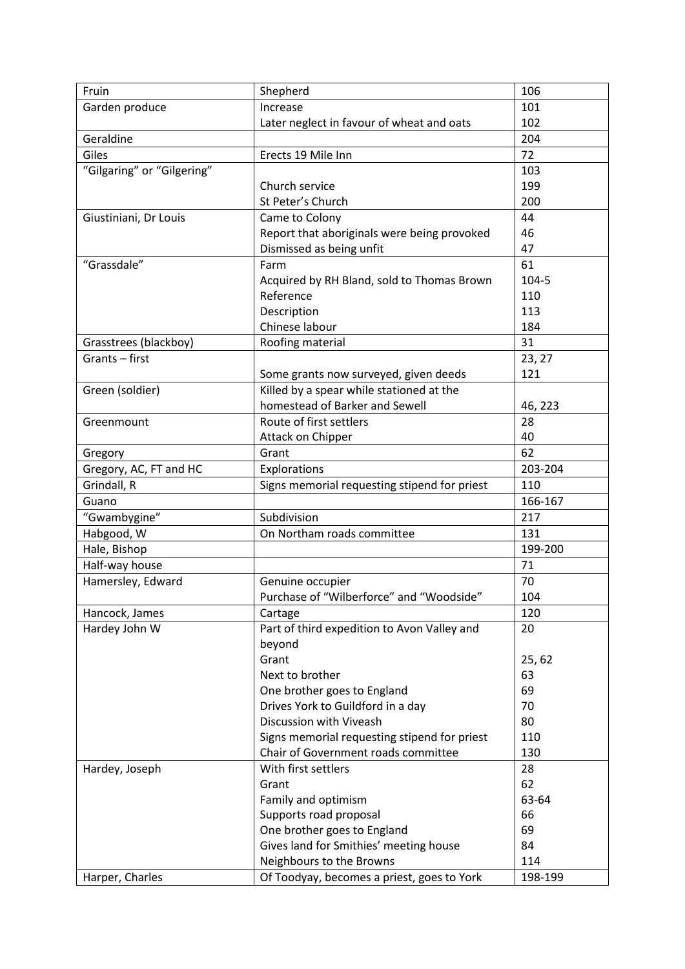| Fruin                      | Shepherd                                     | 106      |
|----------------------------|----------------------------------------------|----------|
| Garden produce             | Increase                                     | 101      |
|                            | Later neglect in favour of wheat and oats    | 102      |
| Geraldine                  |                                              | 204      |
| Giles                      | Erects 19 Mile Inn                           | 72       |
| "Gilgaring" or "Gilgering" |                                              | 103      |
|                            | Church service                               | 199      |
|                            | St Peter's Church                            | 200      |
| Giustiniani, Dr Louis      | Came to Colony                               | 44       |
|                            | Report that aboriginals were being provoked  | 46       |
|                            | Dismissed as being unfit                     | 47       |
| "Grassdale"                | Farm                                         | 61       |
|                            | Acquired by RH Bland, sold to Thomas Brown   | 104-5    |
|                            | Reference                                    | 110      |
|                            | Description                                  | 113      |
|                            | Chinese labour                               | 184      |
| Grasstrees (blackboy)      | Roofing material                             | 31       |
| Grants-first               |                                              | 23, 27   |
|                            | Some grants now surveyed, given deeds        | 121      |
| Green (soldier)            | Killed by a spear while stationed at the     |          |
|                            | homestead of Barker and Sewell               | 46, 223  |
| Greenmount                 | Route of first settlers                      | 28       |
|                            |                                              |          |
|                            | Attack on Chipper                            | 40<br>62 |
| Gregory                    | Grant                                        |          |
| Gregory, AC, FT and HC     | Explorations                                 | 203-204  |
| Grindall, R                | Signs memorial requesting stipend for priest | 110      |
| Guano                      |                                              | 166-167  |
| "Gwambygine"               | Subdivision                                  | 217      |
| Habgood, W                 | On Northam roads committee                   | 131      |
| Hale, Bishop               |                                              | 199-200  |
| Half-way house             |                                              | 71       |
| Hamersley, Edward          | Genuine occupier                             | 70       |
|                            | Purchase of "Wilberforce" and "Woodside"     | 104      |
| Hancock, James             | Cartage                                      | 120      |
| Hardey John W              | Part of third expedition to Avon Valley and  | 20       |
|                            | beyond                                       |          |
|                            | Grant                                        | 25,62    |
|                            | Next to brother                              | 63       |
|                            | One brother goes to England                  | 69       |
|                            | Drives York to Guildford in a day            | 70       |
|                            | Discussion with Viveash                      | 80       |
|                            | Signs memorial requesting stipend for priest | 110      |
|                            | Chair of Government roads committee          | 130      |
| Hardey, Joseph             | With first settlers                          | 28       |
|                            | Grant                                        | 62       |
|                            | Family and optimism                          | 63-64    |
|                            | Supports road proposal                       | 66       |
|                            | One brother goes to England                  | 69       |
|                            | Gives land for Smithies' meeting house       | 84       |
|                            | Neighbours to the Browns                     | 114      |
| Harper, Charles            | Of Toodyay, becomes a priest, goes to York   | 198-199  |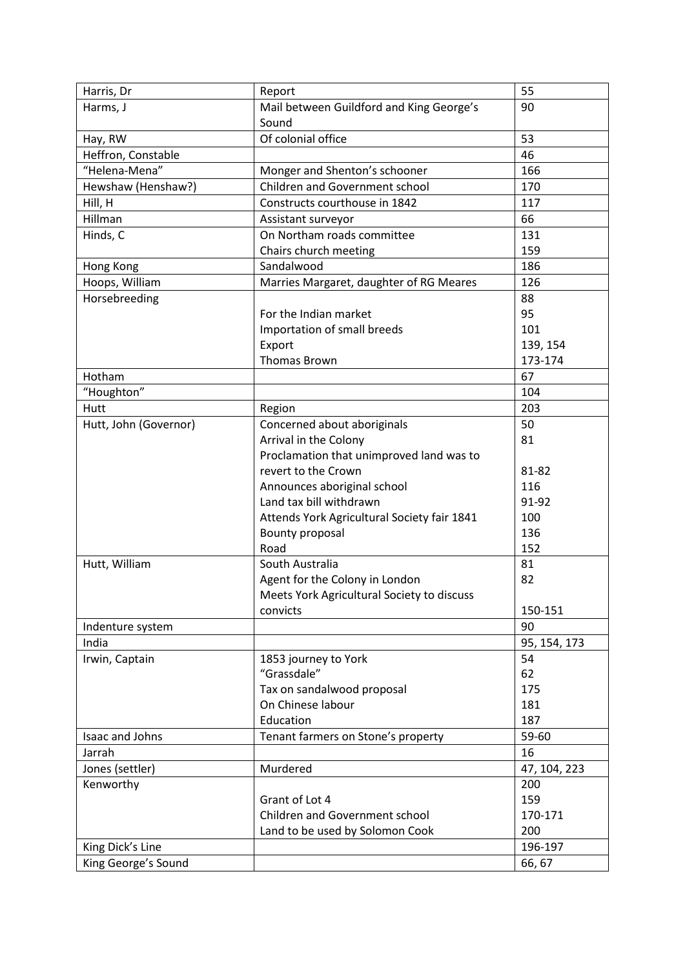| Harris, Dr            | Report                                      | 55           |
|-----------------------|---------------------------------------------|--------------|
| Harms, J              | Mail between Guildford and King George's    | 90           |
|                       | Sound                                       |              |
| Hay, RW               | Of colonial office                          | 53           |
| Heffron, Constable    |                                             | 46           |
| "Helena-Mena"         | Monger and Shenton's schooner               | 166          |
| Hewshaw (Henshaw?)    | Children and Government school              | 170          |
| Hill, H               | Constructs courthouse in 1842               | 117          |
| Hillman               | Assistant surveyor                          | 66           |
| Hinds, C              | On Northam roads committee                  | 131          |
|                       | Chairs church meeting                       | 159          |
| Hong Kong             | Sandalwood                                  | 186          |
| Hoops, William        | Marries Margaret, daughter of RG Meares     | 126          |
| Horsebreeding         |                                             | 88           |
|                       | For the Indian market                       | 95           |
|                       | Importation of small breeds                 | 101          |
|                       | Export                                      | 139, 154     |
|                       | <b>Thomas Brown</b>                         | 173-174      |
| Hotham                |                                             | 67           |
| "Houghton"            |                                             | 104          |
| Hutt                  | Region                                      | 203          |
| Hutt, John (Governor) | Concerned about aboriginals                 | 50           |
|                       | Arrival in the Colony                       | 81           |
|                       | Proclamation that unimproved land was to    |              |
|                       | revert to the Crown                         | 81-82        |
|                       | Announces aboriginal school                 | 116          |
|                       | Land tax bill withdrawn                     | 91-92        |
|                       | Attends York Agricultural Society fair 1841 | 100          |
|                       | Bounty proposal                             | 136          |
|                       | Road                                        | 152          |
| Hutt, William         | South Australia                             | 81           |
|                       | Agent for the Colony in London              | 82           |
|                       | Meets York Agricultural Society to discuss  |              |
|                       | convicts                                    | 150-151      |
| Indenture system      |                                             | 90           |
| India                 |                                             | 95, 154, 173 |
| Irwin, Captain        | 1853 journey to York                        | 54           |
|                       | "Grassdale"                                 | 62           |
|                       | Tax on sandalwood proposal                  | 175          |
|                       | On Chinese labour                           | 181          |
|                       | Education                                   | 187          |
| Isaac and Johns       | Tenant farmers on Stone's property          | 59-60        |
| Jarrah                |                                             | 16           |
| Jones (settler)       | Murdered                                    | 47, 104, 223 |
| Kenworthy             |                                             | 200          |
|                       | Grant of Lot 4                              | 159          |
|                       | Children and Government school              | 170-171      |
|                       | Land to be used by Solomon Cook             | 200          |
| King Dick's Line      |                                             | 196-197      |
| King George's Sound   |                                             | 66, 67       |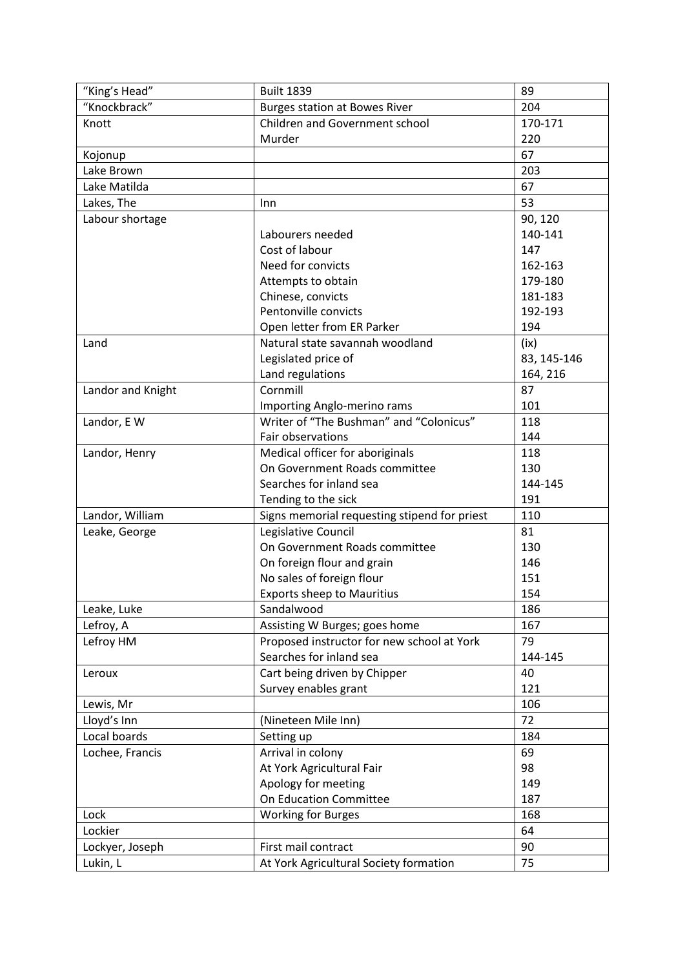| "King's Head"     | <b>Built 1839</b>                            | 89          |
|-------------------|----------------------------------------------|-------------|
| "Knockbrack"      | <b>Burges station at Bowes River</b>         | 204         |
| Knott             | <b>Children and Government school</b>        | 170-171     |
|                   | Murder                                       | 220         |
| Kojonup           |                                              | 67          |
| Lake Brown        |                                              | 203         |
| Lake Matilda      |                                              | 67          |
| Lakes, The        | Inn                                          | 53          |
| Labour shortage   |                                              | 90, 120     |
|                   | Labourers needed                             | 140-141     |
|                   | Cost of labour                               | 147         |
|                   | Need for convicts                            | 162-163     |
|                   | Attempts to obtain                           | 179-180     |
|                   | Chinese, convicts                            | 181-183     |
|                   | Pentonville convicts                         | 192-193     |
|                   | Open letter from ER Parker                   | 194         |
| Land              | Natural state savannah woodland              | (ix)        |
|                   | Legislated price of                          | 83, 145-146 |
|                   | Land regulations                             | 164, 216    |
| Landor and Knight | Cornmill                                     | 87          |
|                   | Importing Anglo-merino rams                  | 101         |
| Landor, E W       | Writer of "The Bushman" and "Colonicus"      | 118         |
|                   | Fair observations                            | 144         |
| Landor, Henry     | Medical officer for aboriginals              | 118         |
|                   | On Government Roads committee                | 130         |
|                   | Searches for inland sea                      | 144-145     |
|                   | Tending to the sick                          | 191         |
| Landor, William   | Signs memorial requesting stipend for priest | 110         |
| Leake, George     | Legislative Council                          | 81          |
|                   | On Government Roads committee                | 130         |
|                   | On foreign flour and grain                   | 146         |
|                   | No sales of foreign flour                    | 151         |
|                   | <b>Exports sheep to Mauritius</b>            | 154         |
| Leake, Luke       | Sandalwood                                   | 186         |
| Lefroy, A         | Assisting W Burges; goes home                | 167         |
| Lefroy HM         | Proposed instructor for new school at York   | 79          |
|                   | Searches for inland sea                      | 144-145     |
| Leroux            | Cart being driven by Chipper                 | 40          |
|                   | Survey enables grant                         | 121         |
| Lewis, Mr         |                                              | 106         |
| Lloyd's Inn       | (Nineteen Mile Inn)                          | 72          |
| Local boards      | Setting up                                   | 184         |
| Lochee, Francis   | Arrival in colony                            | 69          |
|                   | At York Agricultural Fair                    | 98          |
|                   | Apology for meeting                          | 149         |
|                   | On Education Committee                       | 187         |
| Lock              | <b>Working for Burges</b>                    | 168         |
| Lockier           |                                              | 64          |
| Lockyer, Joseph   | First mail contract                          | 90          |
| Lukin, L          | At York Agricultural Society formation       | 75          |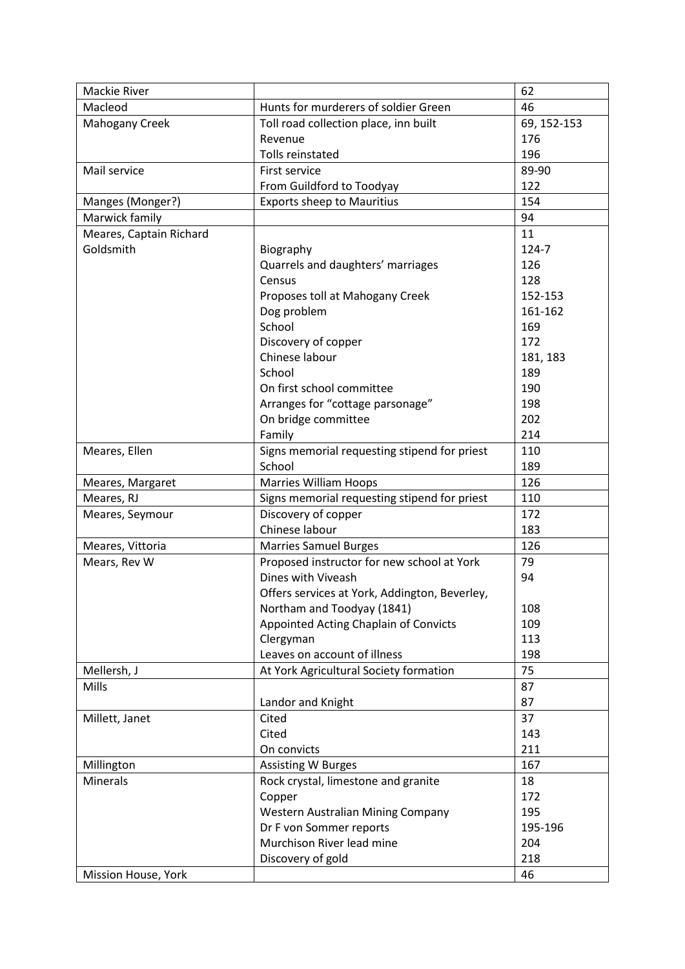| Mackie River            |                                               | 62          |
|-------------------------|-----------------------------------------------|-------------|
| Macleod                 | Hunts for murderers of soldier Green          | 46          |
| <b>Mahogany Creek</b>   | Toll road collection place, inn built         | 69, 152-153 |
|                         | Revenue                                       | 176         |
|                         | Tolls reinstated                              | 196         |
| Mail service            | First service                                 | 89-90       |
|                         | From Guildford to Toodyay                     | 122         |
| Manges (Monger?)        | <b>Exports sheep to Mauritius</b>             | 154         |
| Marwick family          |                                               | 94          |
| Meares, Captain Richard |                                               | 11          |
| Goldsmith               | Biography                                     | 124-7       |
|                         | Quarrels and daughters' marriages             | 126         |
|                         | Census                                        | 128         |
|                         | Proposes toll at Mahogany Creek               | 152-153     |
|                         | Dog problem                                   | 161-162     |
|                         | School                                        | 169         |
|                         | Discovery of copper                           | 172         |
|                         | Chinese labour                                |             |
|                         |                                               | 181, 183    |
|                         | School                                        | 189         |
|                         | On first school committee                     | 190         |
|                         | Arranges for "cottage parsonage"              | 198         |
|                         | On bridge committee                           | 202         |
|                         | Family                                        | 214         |
| Meares, Ellen           | Signs memorial requesting stipend for priest  | 110         |
|                         | School                                        | 189         |
| Meares, Margaret        | <b>Marries William Hoops</b>                  | 126         |
| Meares, RJ              | Signs memorial requesting stipend for priest  | 110         |
| Meares, Seymour         | Discovery of copper                           | 172         |
|                         | Chinese labour                                | 183         |
| Meares, Vittoria        | <b>Marries Samuel Burges</b>                  | 126         |
| Mears, Rev W            | Proposed instructor for new school at York    | 79          |
|                         | Dines with Viveash                            | 94          |
|                         | Offers services at York, Addington, Beverley, |             |
|                         | Northam and Toodyay (1841)                    | 108         |
|                         | Appointed Acting Chaplain of Convicts         | 109         |
|                         | Clergyman                                     | 113         |
|                         | Leaves on account of illness                  | 198         |
| Mellersh, J             | At York Agricultural Society formation        | 75          |
| Mills                   |                                               | 87          |
|                         | Landor and Knight                             | 87          |
| Millett, Janet          | Cited                                         | 37          |
|                         | Cited                                         | 143         |
|                         | On convicts                                   | 211         |
| Millington              | <b>Assisting W Burges</b>                     | 167         |
| <b>Minerals</b>         | Rock crystal, limestone and granite           | 18          |
|                         | Copper                                        | 172         |
|                         | Western Australian Mining Company             | 195         |
|                         | Dr F von Sommer reports                       | 195-196     |
|                         | Murchison River lead mine                     | 204         |
|                         | Discovery of gold                             | 218         |
|                         |                                               |             |
| Mission House, York     |                                               | 46          |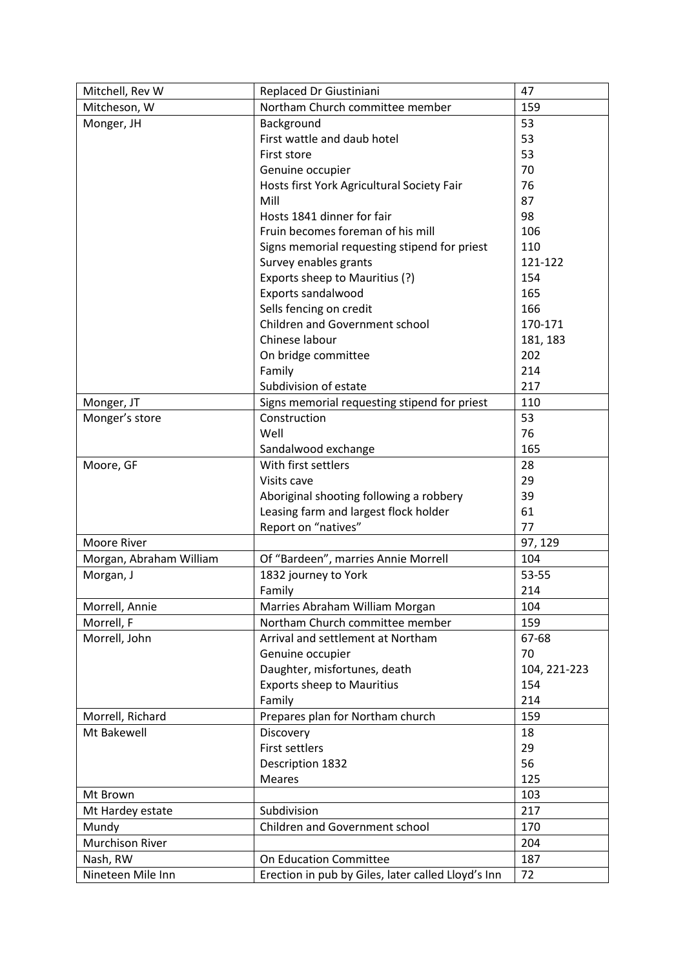| Mitchell, Rev W         | Replaced Dr Giustiniani                            | 47           |
|-------------------------|----------------------------------------------------|--------------|
| Mitcheson, W            | Northam Church committee member                    | 159          |
| Monger, JH              | Background                                         | 53           |
|                         | First wattle and daub hotel                        | 53           |
|                         | First store                                        | 53           |
|                         | Genuine occupier                                   | 70           |
|                         | Hosts first York Agricultural Society Fair         | 76           |
|                         | Mill                                               | 87           |
|                         | Hosts 1841 dinner for fair                         | 98           |
|                         | Fruin becomes foreman of his mill                  | 106          |
|                         | Signs memorial requesting stipend for priest       | 110          |
|                         | Survey enables grants                              | 121-122      |
|                         | Exports sheep to Mauritius (?)                     | 154          |
|                         | Exports sandalwood                                 | 165          |
|                         | Sells fencing on credit                            | 166          |
|                         | Children and Government school                     | 170-171      |
|                         | Chinese labour                                     | 181, 183     |
|                         | On bridge committee                                | 202          |
|                         | Family                                             | 214          |
|                         | Subdivision of estate                              | 217          |
|                         |                                                    |              |
| Monger, JT              | Signs memorial requesting stipend for priest       | 110          |
| Monger's store          | Construction                                       | 53           |
|                         | Well                                               | 76           |
|                         | Sandalwood exchange                                | 165          |
| Moore, GF               | With first settlers                                | 28           |
|                         | Visits cave                                        | 29           |
|                         | Aboriginal shooting following a robbery            | 39           |
|                         | Leasing farm and largest flock holder              | 61           |
|                         | Report on "natives"                                | 77           |
| Moore River             |                                                    | 97, 129      |
| Morgan, Abraham William | Of "Bardeen", marries Annie Morrell                | 104          |
| Morgan, J               | 1832 journey to York                               | 53-55        |
|                         | Family                                             | 214          |
| Morrell, Annie          | Marries Abraham William Morgan                     | 104          |
| Morrell, F              | Northam Church committee member                    | 159          |
| Morrell, John           | Arrival and settlement at Northam                  | 67-68        |
|                         | Genuine occupier                                   | 70           |
|                         | Daughter, misfortunes, death                       | 104, 221-223 |
|                         | <b>Exports sheep to Mauritius</b>                  | 154          |
|                         | Family                                             | 214          |
| Morrell, Richard        | Prepares plan for Northam church                   | 159          |
| Mt Bakewell             | Discovery                                          | 18           |
|                         | <b>First settlers</b>                              | 29           |
|                         | Description 1832                                   | 56           |
|                         | <b>Meares</b>                                      | 125          |
|                         |                                                    | 103          |
| Mt Brown                |                                                    |              |
| Mt Hardey estate        | Subdivision                                        | 217          |
| Mundy                   | Children and Government school                     | 170          |
| <b>Murchison River</b>  |                                                    | 204          |
| Nash, RW                | <b>On Education Committee</b>                      | 187          |
| Nineteen Mile Inn       | Erection in pub by Giles, later called Lloyd's Inn | 72           |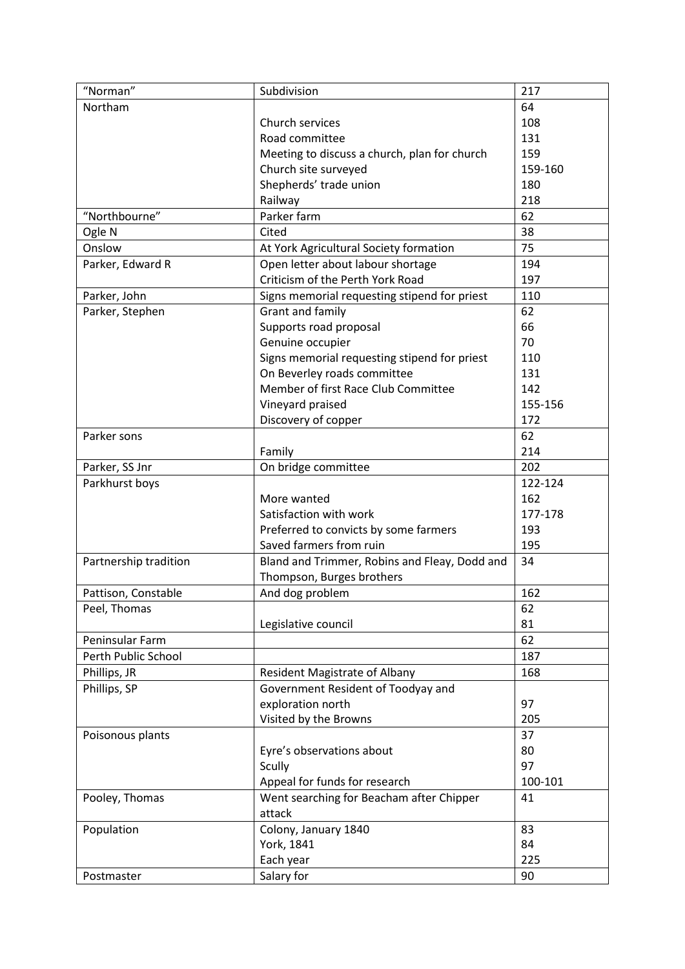| "Norman"              | Subdivision                                                                 | 217     |
|-----------------------|-----------------------------------------------------------------------------|---------|
| Northam               |                                                                             | 64      |
|                       | Church services                                                             | 108     |
|                       | Road committee                                                              | 131     |
|                       | Meeting to discuss a church, plan for church                                | 159     |
|                       | Church site surveyed                                                        | 159-160 |
|                       | Shepherds' trade union                                                      | 180     |
|                       | Railway                                                                     | 218     |
| "Northbourne"         | Parker farm                                                                 | 62      |
| Ogle N                | Cited                                                                       | 38      |
| Onslow                | At York Agricultural Society formation                                      | 75      |
| Parker, Edward R      | Open letter about labour shortage                                           | 194     |
|                       | Criticism of the Perth York Road                                            | 197     |
| Parker, John          | Signs memorial requesting stipend for priest                                | 110     |
| Parker, Stephen       | Grant and family                                                            | 62      |
|                       | Supports road proposal                                                      | 66      |
|                       | Genuine occupier                                                            | 70      |
|                       |                                                                             | 110     |
|                       | Signs memorial requesting stipend for priest<br>On Beverley roads committee | 131     |
|                       | Member of first Race Club Committee                                         | 142     |
|                       |                                                                             | 155-156 |
|                       | Vineyard praised                                                            |         |
|                       | Discovery of copper                                                         | 172     |
| Parker sons           |                                                                             | 62      |
|                       | Family                                                                      | 214     |
| Parker, SS Jnr        | On bridge committee                                                         | 202     |
| Parkhurst boys        |                                                                             | 122-124 |
|                       | More wanted                                                                 | 162     |
|                       | Satisfaction with work                                                      | 177-178 |
|                       | Preferred to convicts by some farmers                                       | 193     |
|                       | Saved farmers from ruin                                                     | 195     |
| Partnership tradition | Bland and Trimmer, Robins and Fleay, Dodd and                               | 34      |
|                       | Thompson, Burges brothers                                                   |         |
| Pattison, Constable   | And dog problem                                                             | 162     |
| Peel, Thomas          |                                                                             | 62      |
|                       | Legislative council                                                         | 81      |
| Peninsular Farm       |                                                                             | 62      |
| Perth Public School   |                                                                             | 187     |
| Phillips, JR          | <b>Resident Magistrate of Albany</b>                                        | 168     |
| Phillips, SP          | Government Resident of Toodyay and                                          |         |
|                       | exploration north                                                           | 97      |
|                       | Visited by the Browns                                                       | 205     |
| Poisonous plants      |                                                                             | 37      |
|                       | Eyre's observations about                                                   | 80      |
|                       | Scully                                                                      | 97      |
|                       | Appeal for funds for research                                               | 100-101 |
| Pooley, Thomas        | Went searching for Beacham after Chipper                                    | 41      |
|                       | attack                                                                      |         |
| Population            | Colony, January 1840                                                        | 83      |
|                       | York, 1841                                                                  | 84      |
|                       | Each year                                                                   | 225     |
| Postmaster            | Salary for                                                                  | 90      |
|                       |                                                                             |         |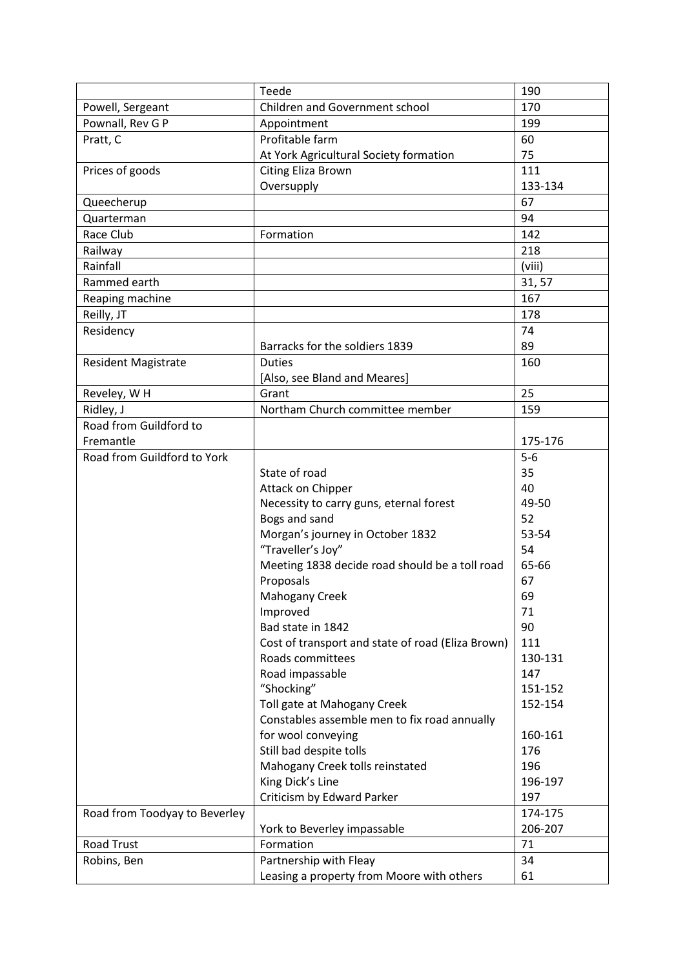|                               | Teede                                             | 190     |
|-------------------------------|---------------------------------------------------|---------|
| Powell, Sergeant              | Children and Government school                    | 170     |
| Pownall, Rev G P              | Appointment                                       | 199     |
| Pratt, C                      | Profitable farm                                   | 60      |
|                               | At York Agricultural Society formation            | 75      |
| Prices of goods               | <b>Citing Eliza Brown</b>                         | 111     |
|                               | Oversupply                                        | 133-134 |
| Queecherup                    |                                                   | 67      |
| Quarterman                    |                                                   | 94      |
| Race Club                     | Formation                                         | 142     |
| Railway                       |                                                   | 218     |
| Rainfall                      |                                                   | (viii)  |
| Rammed earth                  |                                                   | 31, 57  |
| Reaping machine               |                                                   | 167     |
| Reilly, JT                    |                                                   | 178     |
| Residency                     |                                                   | 74      |
|                               | Barracks for the soldiers 1839                    | 89      |
| <b>Resident Magistrate</b>    | <b>Duties</b>                                     | 160     |
|                               | [Also, see Bland and Meares]                      |         |
| Reveley, WH                   | Grant                                             | 25      |
| Ridley, J                     | Northam Church committee member                   | 159     |
| Road from Guildford to        |                                                   |         |
| Fremantle                     |                                                   | 175-176 |
| Road from Guildford to York   |                                                   | $5-6$   |
|                               | State of road                                     | 35      |
|                               | Attack on Chipper                                 | 40      |
|                               | Necessity to carry guns, eternal forest           | 49-50   |
|                               | Bogs and sand                                     | 52      |
|                               | Morgan's journey in October 1832                  | 53-54   |
|                               | "Traveller's Joy"                                 | 54      |
|                               | Meeting 1838 decide road should be a toll road    | 65-66   |
|                               | Proposals                                         | 67      |
|                               | <b>Mahogany Creek</b>                             | 69      |
|                               | Improved                                          | 71      |
|                               | Bad state in 1842                                 | 90      |
|                               | Cost of transport and state of road (Eliza Brown) | 111     |
|                               | Roads committees                                  | 130-131 |
|                               | Road impassable                                   | 147     |
|                               | "Shocking"                                        | 151-152 |
|                               | Toll gate at Mahogany Creek                       | 152-154 |
|                               | Constables assemble men to fix road annually      |         |
|                               | for wool conveying                                | 160-161 |
|                               | Still bad despite tolls                           | 176     |
|                               | Mahogany Creek tolls reinstated                   | 196     |
|                               | King Dick's Line                                  | 196-197 |
|                               | Criticism by Edward Parker                        | 197     |
| Road from Toodyay to Beverley |                                                   | 174-175 |
|                               | York to Beverley impassable                       | 206-207 |
| Road Trust                    | Formation                                         | 71      |
| Robins, Ben                   | Partnership with Fleay                            | 34      |
|                               | Leasing a property from Moore with others         | 61      |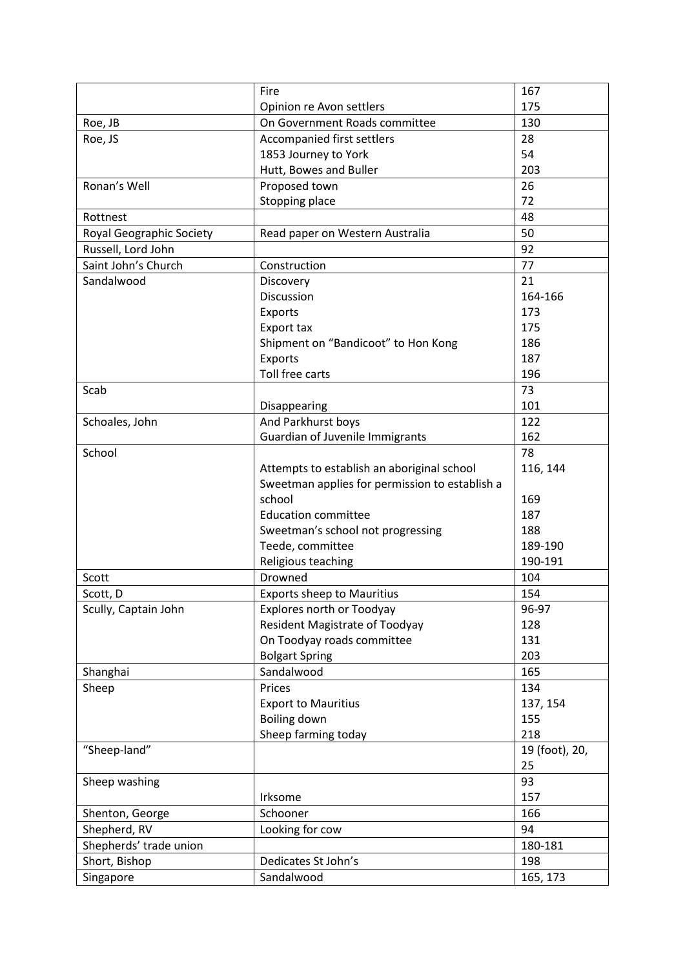|                          | Fire                                           | 167            |
|--------------------------|------------------------------------------------|----------------|
|                          | Opinion re Avon settlers                       | 175            |
| Roe, JB                  | On Government Roads committee                  | 130            |
| Roe, JS                  | Accompanied first settlers                     | 28             |
|                          | 1853 Journey to York                           | 54             |
|                          | Hutt, Bowes and Buller                         | 203            |
| Ronan's Well             | Proposed town                                  | 26             |
|                          | Stopping place                                 | 72             |
| Rottnest                 |                                                | 48             |
| Royal Geographic Society | Read paper on Western Australia                | 50             |
| Russell, Lord John       |                                                | 92             |
| Saint John's Church      | Construction                                   | 77             |
| Sandalwood               | Discovery                                      | 21             |
|                          | Discussion                                     | 164-166        |
|                          | Exports                                        | 173            |
|                          | Export tax                                     | 175            |
|                          | Shipment on "Bandicoot" to Hon Kong            | 186            |
|                          | Exports                                        | 187            |
|                          | Toll free carts                                | 196            |
| Scab                     |                                                | 73             |
|                          | Disappearing                                   | 101            |
| Schoales, John           | And Parkhurst boys                             | 122            |
|                          | <b>Guardian of Juvenile Immigrants</b>         | 162            |
| School                   |                                                | 78             |
|                          | Attempts to establish an aboriginal school     | 116, 144       |
|                          | Sweetman applies for permission to establish a |                |
|                          | school                                         | 169            |
|                          | <b>Education committee</b>                     | 187            |
|                          | Sweetman's school not progressing              | 188            |
|                          | Teede, committee                               | 189-190        |
|                          | Religious teaching                             | 190-191        |
| Scott                    | Drowned                                        | 104            |
| Scott, D                 | <b>Exports sheep to Mauritius</b>              | 154            |
| Scully, Captain John     | Explores north or Toodyay                      | 96-97          |
|                          | <b>Resident Magistrate of Toodyay</b>          | 128            |
|                          | On Toodyay roads committee                     | 131            |
|                          | <b>Bolgart Spring</b>                          | 203            |
| Shanghai                 | Sandalwood                                     | 165            |
| Sheep                    | Prices                                         | 134            |
|                          | <b>Export to Mauritius</b>                     | 137, 154       |
|                          | Boiling down                                   | 155            |
|                          | Sheep farming today                            | 218            |
| "Sheep-land"             |                                                | 19 (foot), 20, |
|                          |                                                | 25             |
| Sheep washing            |                                                | 93             |
|                          | Irksome                                        | 157            |
| Shenton, George          | Schooner                                       | 166            |
| Shepherd, RV             | Looking for cow                                | 94             |
| Shepherds' trade union   |                                                | 180-181        |
| Short, Bishop            | Dedicates St John's                            | 198            |
| Singapore                | Sandalwood                                     | 165, 173       |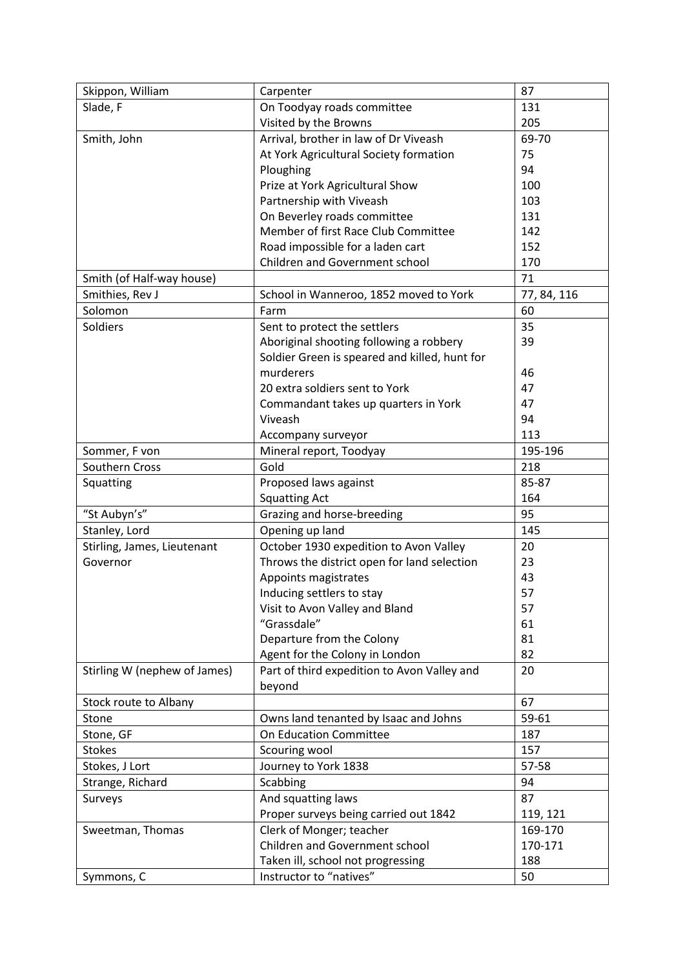| Skippon, William             | Carpenter                                     | 87          |
|------------------------------|-----------------------------------------------|-------------|
| Slade, F                     | On Toodyay roads committee                    | 131         |
|                              | Visited by the Browns                         | 205         |
| Smith, John                  | Arrival, brother in law of Dr Viveash         | 69-70       |
|                              | At York Agricultural Society formation        | 75          |
|                              | Ploughing                                     | 94          |
|                              | Prize at York Agricultural Show               | 100         |
|                              | Partnership with Viveash                      | 103         |
|                              | On Beverley roads committee                   | 131         |
|                              | Member of first Race Club Committee           | 142         |
|                              | Road impossible for a laden cart              | 152         |
|                              | Children and Government school                | 170         |
| Smith (of Half-way house)    |                                               | 71          |
| Smithies, Rev J              | School in Wanneroo, 1852 moved to York        | 77, 84, 116 |
| Solomon                      | Farm                                          | 60          |
| Soldiers                     | Sent to protect the settlers                  | 35          |
|                              | Aboriginal shooting following a robbery       | 39          |
|                              | Soldier Green is speared and killed, hunt for |             |
|                              | murderers                                     | 46          |
|                              | 20 extra soldiers sent to York                | 47          |
|                              | Commandant takes up quarters in York          | 47          |
|                              | Viveash                                       | 94          |
|                              | Accompany surveyor                            | 113         |
| Sommer, F von                | Mineral report, Toodyay                       | 195-196     |
| Southern Cross               | Gold                                          | 218         |
| Squatting                    | Proposed laws against                         | 85-87       |
|                              | <b>Squatting Act</b>                          | 164         |
| "St Aubyn's"                 | Grazing and horse-breeding                    | 95          |
| Stanley, Lord                | Opening up land                               | 145         |
| Stirling, James, Lieutenant  | October 1930 expedition to Avon Valley        | 20          |
| Governor                     | Throws the district open for land selection   | 23          |
|                              | Appoints magistrates                          | 43          |
|                              | Inducing settlers to stay                     | 57          |
|                              | Visit to Avon Valley and Bland                | 57          |
|                              | "Grassdale"                                   | 61          |
|                              | Departure from the Colony                     | 81          |
|                              | Agent for the Colony in London                | 82          |
| Stirling W (nephew of James) | Part of third expedition to Avon Valley and   | 20          |
|                              | beyond                                        |             |
| Stock route to Albany        |                                               | 67          |
| Stone                        | Owns land tenanted by Isaac and Johns         | 59-61       |
| Stone, GF                    | On Education Committee                        | 187         |
| <b>Stokes</b>                | Scouring wool                                 | 157         |
| Stokes, J Lort               | Journey to York 1838                          | 57-58       |
| Strange, Richard             | Scabbing                                      | 94          |
| Surveys                      | And squatting laws                            | 87          |
|                              | Proper surveys being carried out 1842         | 119, 121    |
| Sweetman, Thomas             | Clerk of Monger; teacher                      | 169-170     |
|                              | Children and Government school                | 170-171     |
|                              | Taken ill, school not progressing             | 188         |
| Symmons, C                   | Instructor to "natives"                       | 50          |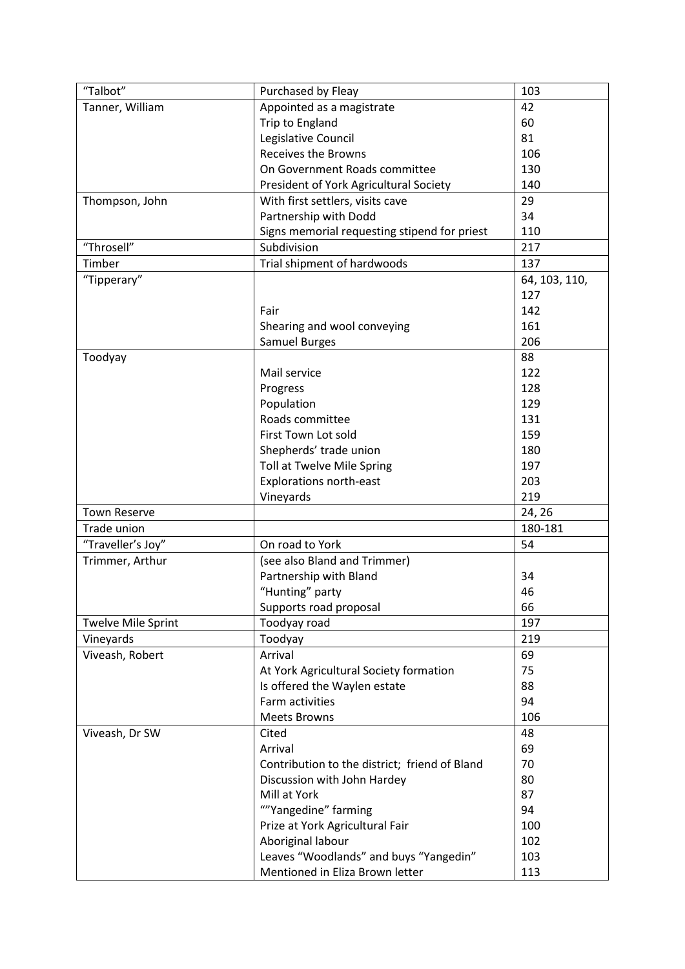| "Talbot"                  | Purchased by Fleay                            | 103           |
|---------------------------|-----------------------------------------------|---------------|
| Tanner, William           | Appointed as a magistrate                     | 42            |
|                           | Trip to England                               | 60            |
|                           | Legislative Council                           | 81            |
|                           | <b>Receives the Browns</b>                    | 106           |
|                           | On Government Roads committee                 | 130           |
|                           | President of York Agricultural Society        | 140           |
| Thompson, John            | With first settlers, visits cave              | 29            |
|                           | Partnership with Dodd                         | 34            |
|                           | Signs memorial requesting stipend for priest  | 110           |
| "Throsell"                | Subdivision                                   | 217           |
| Timber                    | Trial shipment of hardwoods                   | 137           |
| "Tipperary"               |                                               | 64, 103, 110, |
|                           |                                               | 127           |
|                           | Fair                                          | 142           |
|                           |                                               | 161           |
|                           | Shearing and wool conveying                   |               |
|                           | Samuel Burges                                 | 206           |
| Toodyay                   |                                               | 88            |
|                           | Mail service                                  | 122           |
|                           | Progress                                      | 128           |
|                           | Population                                    | 129           |
|                           | Roads committee                               | 131           |
|                           | First Town Lot sold                           | 159           |
|                           | Shepherds' trade union                        | 180           |
|                           | Toll at Twelve Mile Spring                    | 197           |
|                           | <b>Explorations north-east</b>                | 203           |
|                           | Vineyards                                     | 219           |
| <b>Town Reserve</b>       |                                               | 24, 26        |
| Trade union               |                                               | 180-181       |
| "Traveller's Joy"         | On road to York                               | 54            |
| Trimmer, Arthur           | (see also Bland and Trimmer)                  |               |
|                           | Partnership with Bland                        | 34            |
|                           | "Hunting" party                               | 46            |
|                           | Supports road proposal                        | 66            |
| <b>Twelve Mile Sprint</b> | Toodyay road                                  | 197           |
| Vineyards                 | Toodyay                                       | 219           |
| Viveash, Robert           | Arrival                                       | 69            |
|                           | At York Agricultural Society formation        | 75            |
|                           | Is offered the Waylen estate                  | 88            |
|                           | Farm activities                               | 94            |
|                           | <b>Meets Browns</b>                           | 106           |
| Viveash, Dr SW            | Cited                                         | 48            |
|                           | Arrival                                       | 69            |
|                           | Contribution to the district; friend of Bland | 70            |
|                           | Discussion with John Hardey                   | 80            |
|                           | Mill at York                                  | 87            |
|                           | ""Yangedine" farming                          | 94            |
|                           |                                               | 100           |
|                           | Prize at York Agricultural Fair               | 102           |
|                           | Aboriginal labour                             |               |
|                           | Leaves "Woodlands" and buys "Yangedin"        | 103           |
|                           | Mentioned in Eliza Brown letter               | 113           |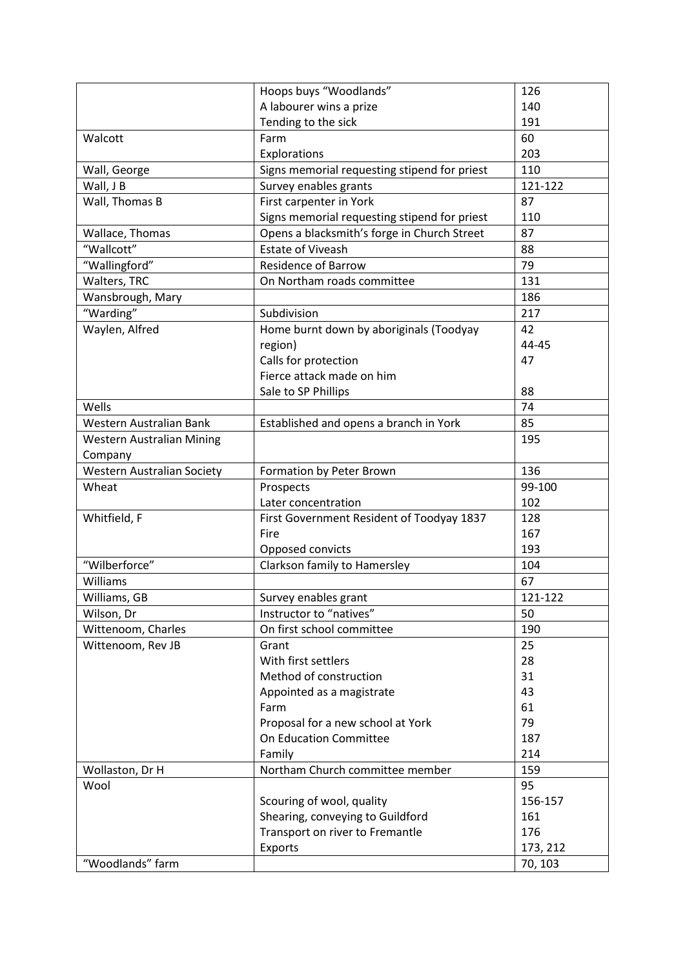|                            | Hoops buys "Woodlands"                       | 126      |
|----------------------------|----------------------------------------------|----------|
|                            | A labourer wins a prize                      | 140      |
|                            | Tending to the sick                          | 191      |
| Walcott                    | Farm                                         | 60       |
|                            | Explorations                                 | 203      |
| Wall, George               | Signs memorial requesting stipend for priest | 110      |
| Wall, J B                  | Survey enables grants                        | 121-122  |
| Wall, Thomas B             | First carpenter in York                      | 87       |
|                            | Signs memorial requesting stipend for priest | 110      |
| Wallace, Thomas            | Opens a blacksmith's forge in Church Street  | 87       |
| "Wallcott"                 | <b>Estate of Viveash</b>                     | 88       |
| "Wallingford"              | <b>Residence of Barrow</b>                   | 79       |
| Walters, TRC               | On Northam roads committee                   | 131      |
| Wansbrough, Mary           |                                              | 186      |
| "Warding"                  | Subdivision                                  | 217      |
| Waylen, Alfred             | Home burnt down by aboriginals (Toodyay      | 42       |
|                            | region)                                      | 44-45    |
|                            | Calls for protection                         | 47       |
|                            | Fierce attack made on him                    |          |
|                            | Sale to SP Phillips                          | 88       |
| Wells                      |                                              | 74       |
| Western Australian Bank    |                                              | 85       |
|                            | Established and opens a branch in York       |          |
| Western Australian Mining  |                                              | 195      |
| Company                    |                                              | 136      |
| Western Australian Society | Formation by Peter Brown                     |          |
| Wheat                      | Prospects                                    | 99-100   |
|                            | Later concentration                          | 102      |
| Whitfield, F               | First Government Resident of Toodyay 1837    | 128      |
|                            | Fire                                         | 167      |
|                            | Opposed convicts                             | 193      |
| "Wilberforce"              | Clarkson family to Hamersley                 | 104      |
| Williams                   |                                              | 67       |
| Williams, GB               | Survey enables grant                         | 121-122  |
| Wilson, Dr                 | Instructor to "natives"                      | 50       |
| Wittenoom, Charles         | On first school committee                    | 190      |
| Wittenoom, Rev JB          | Grant                                        | 25       |
|                            | With first settlers                          | 28       |
|                            | Method of construction                       | 31       |
|                            | Appointed as a magistrate                    | 43       |
|                            | Farm                                         | 61       |
|                            | Proposal for a new school at York            | 79       |
|                            | On Education Committee                       | 187      |
|                            | Family                                       | 214      |
| Wollaston, Dr H            | Northam Church committee member              | 159      |
| Wool                       |                                              | 95       |
|                            | Scouring of wool, quality                    | 156-157  |
|                            | Shearing, conveying to Guildford             | 161      |
|                            | Transport on river to Fremantle              | 176      |
|                            | Exports                                      | 173, 212 |
| "Woodlands" farm           |                                              | 70, 103  |